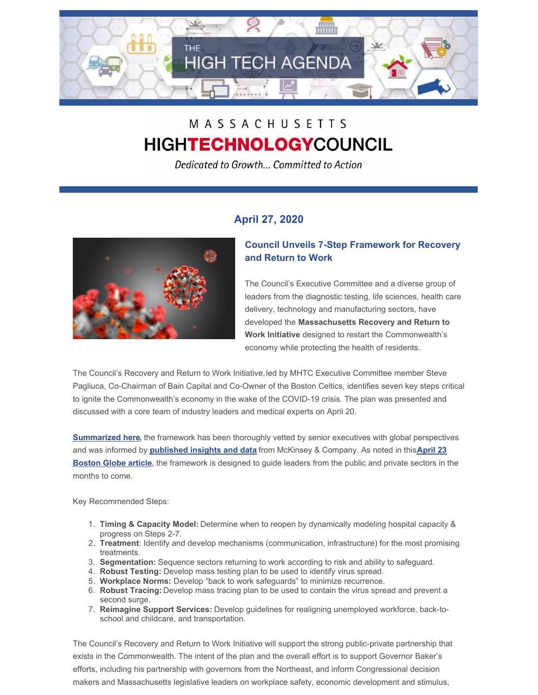

# MASSACHUSETTS **HIGHTECHNOLOGYCOUNCIL**

Dedicated to Growth... Committed to Action

# **April 27, 2020**



## **Council Unveils 7-Step Framework for Recovery and Return to Work**

The Council's Executive Committee and a diverse group of leaders from the diagnostic testing, life sciences, health care delivery, technology and manufacturing sectors, have developed the **Massachusetts Recovery and Return to Work Initiative** designed to restart the Commonwealth's economy while protecting the health of residents.

The Council's Recovery and Return to Work Initiative,led by MHTC Executive Committee member Steve Pagliuca, Co-Chairman of Bain Capital and Co-Owner of the Boston Celtics, identifies seven key steps critical to ignite the Commonwealth's economy in the wake of the COVID-19 crisis. The plan was presented and discussed with a core team of industry leaders and medical experts on April 20.

**[Summarized](http://www.mhtc.org/wp-content/uploads/2020/04/RRTW-Executive-Summary-Slides-for-Media-Statement-4.23.20.pdf) here,** the framework has been thoroughly vetted by senior executives with global perspectives and was informed by **[published](http://www.mhtc.org/2020/04/23/ceos-prepare-for-long-transition-back-to-their-offices-the-way-we-report-to-work-could-be-quite-different-once-were-finally-allowed-back/) insights and data** from McKinsey & Company. As noted in this**April 23 Boston Globe article**, the framework is designed to guide leaders from the public and private sectors in the months to come.

Key Recommended Steps:

- 1. **Timing & Capacity Model:** Determine when to reopen by dynamically modeling hospital capacity & progress on Steps 2-7.
- 2. **Treatment**: Identify and develop mechanisms (communication, infrastructure) for the most promising treatments.
- 3. **Segmentation:** Sequence sectors returning to work according to risk and ability to safeguard.
- 4. **Robust Testing:** Develop mass testing plan to be used to identify virus spread.
- 5. **Workplace Norms:** Develop "back to work safeguards" to minimize recurrence.
- 6. **Robust Tracing:** Develop mass tracing plan to be used to contain the virus spread and prevent a second surge.
- 7. **Reimagine Support Services:** Develop guidelines for realigning unemployed workforce, back-toschool and childcare, and transportation.

The Council's Recovery and Return to Work Initiative will support the strong public-private partnership that exists in the Commonwealth. The intent of the plan and the overall effort is to support Governor Baker's efforts, including his partnership with governors from the Northeast, and inform Congressional decision makers and Massachusetts legislative leaders on workplace safety, economic development and stimulus,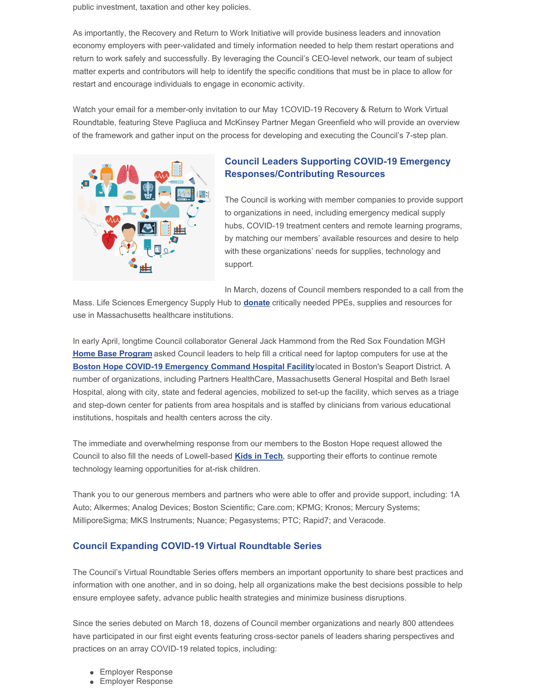public investment, taxation and other key policies.

As importantly, the Recovery and Return to Work Initiative will provide business leaders and innovation economy employers with peer-validated and timely information needed to help them restart operations and return to work safely and successfully. By leveraging the Council's CEO-level network, our team of subject matter experts and contributors will help to identify the specific conditions that must be in place to allow for restart and encourage individuals to engage in economic activity.

Watch your email for a member-only invitation to our May 1COVID-19 Recovery & Return to Work Virtual Roundtable, featuring Steve Pagliuca and McKinsey Partner Megan Greenfield who will provide an overview of the framework and gather input on the process for developing and executing the Council's 7-step plan.



## **Council Leaders Supporting COVID-19 Emergency Responses/Contributing Resources**

The Council is working with member companies to provide support to organizations in need, including emergency medical supply hubs, COVID-19 treatment centers and remote learning programs, by matching our members' available resources and desire to help with these organizations' needs for supplies, technology and support.

In March, dozens of Council members responded to a call from the

Mass. Life Sciences Emergency Supply Hub to **[donate](https://www.mass.gov/forms/covid-19-donation-program)** critically needed PPEs, supplies and resources for use in Massachusetts healthcare institutions.

In early April, longtime Council collaborator General Jack Hammond from the Red Sox Foundation MGH **Home Base [Program](https://www.homebase.org/)** asked Council leaders to help fill a critical need for laptop computers for use at the **Boston Hope COVID-19 [Emergency](https://www.massgeneral.org/news/coronavirus/boston-hope-medical-center-opens) Command Hospital Facility**located in Boston's Seaport District. A number of organizations, including Partners HealthCare, Massachusetts General Hospital and Beth Israel Hospital, along with city, state and federal agencies, mobilized to set-up the facility, which serves as a triage and step-down center for patients from area hospitals and is staffed by clinicians from various educational institutions, hospitals and health centers across the city.

The immediate and overwhelming response from our members to the Boston Hope request allowed the Council to also fill the needs of Lowell-based **Kids in [Tech](https://kidsintech.org/)**, supporting their efforts to continue remote technology learning opportunities for at-risk children.

Thank you to our generous members and partners who were able to offer and provide support, including: 1A Auto; Alkermes; Analog Devices; Boston Scientific; Care.com; KPMG; Kronos; Mercury Systems; MilliporeSigma; MKS Instruments; Nuance; Pegasystems; PTC; Rapid7; and Veracode.

## **Council Expanding COVID-19 Virtual Roundtable Series**

The Council's Virtual Roundtable Series offers members an important opportunity to share best practices and information with one another, and in so doing, help all organizations make the best decisions possible to help ensure employee safety, advance public health strategies and minimize business disruptions.

Since the series debuted on March 18, dozens of Council member organizations and nearly 800 attendees have participated in our first eight events featuring cross-sector panels of leaders sharing perspectives and practices on an array COVID-19 related topics, including:

- **Employer Response**
- **Employer Response**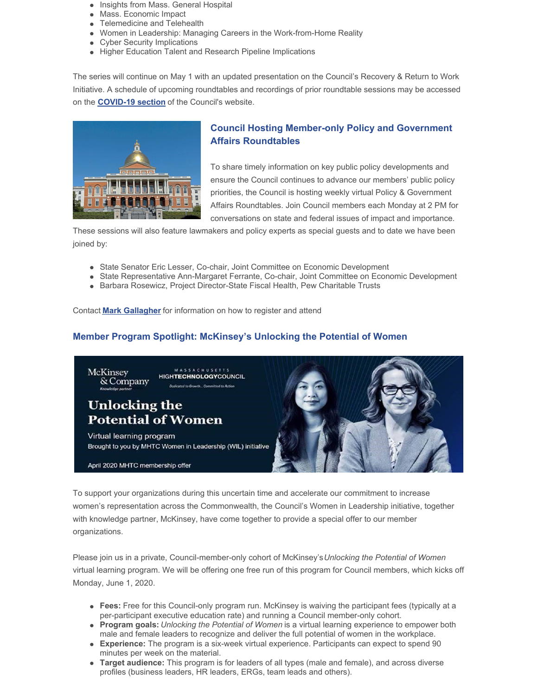- Insights from Mass. General Hospital
- Mass. Economic Impact
- Telemedicine and Telehealth
- Women in Leadership: Managing Careers in the Work-from-Home Reality
- Cyber Security Implications
- Higher Education Talent and Research Pipeline Implications

The series will continue on May 1 with an updated presentation on the Council's Recovery & Return to Work Initiative. A schedule of upcoming roundtables and recordings of prior roundtable sessions may be accessed on the **[COVID-19](http://r20.rs6.net/tn.jsp?f=001gVo9llPtFmxaDD_ILqZ0sdLtxr3xBugWm2BvH1rXyIfWibIbFXPShBLiTvoABBlnJ4ADQ_gzcDyDjtFrcexNKbNFt-VNvyGgk4omrYHA2qCqwGlansQdEmPMn0gDagUhqSn9rMgwts3jzzlsua-1qWHtPu0yB8nyy8bKx1nZWUHpP5opX8ZC7w==&c=3WyFc5hS1b-YRMbemozm66ScXWaTAOob7BDiIDn0z46bvXDEzOw8gQ==&ch=lOo41RcsL_fcLTeamgXlh_jbh9SfVhjUE3c73gyVnTpH2vfe3_wWZA==) section** of the Council's website.



# **Council Hosting Member-only Policy and Government Affairs Roundtables**

To share timely information on key public policy developments and ensure the Council continues to advance our members' public policy priorities, the Council is hosting weekly virtual Policy & Government Affairs Roundtables. Join Council members each Monday at 2 PM for conversations on state and federal issues of impact and importance.

These sessions will also feature lawmakers and policy experts as special guests and to date we have been joined by:

- State Senator Eric Lesser, Co-chair, Joint Committee on Economic Development
- State Representative Ann-Margaret Ferrante, Co-chair, Joint Committee on Economic Development
- Barbara Rosewicz, Project Director-State Fiscal Health, Pew Charitable Trusts

Contact **Mark [Gallagher](mailto:mark@mhtc.org)** for information on how to register and attend

## **Member Program Spotlight: McKinsey's Unlocking the Potential of Women**



To support your organizations during this uncertain time and accelerate our commitment to increase women's representation across the Commonwealth, the Council's Women in Leadership initiative, together with knowledge partner, McKinsey, have come together to provide a special offer to our member organizations.

Please join us in a private, Council-member-only cohort of McKinsey's*Unlocking the Potential of Women* virtual learning program. We will be offering one free run of this program for Council members, which kicks off Monday, June 1, 2020.

- **Fees:** Free for this Council-only program run. McKinsey is waiving the participant fees (typically at a per-participant executive education rate) and running a Council member-only cohort.
- **Program goals:** *Unlocking the Potential of Women* is a virtual learning experience to empower both male and female leaders to recognize and deliver the full potential of women in the workplace.
- **Experience:** The program is a six-week virtual experience. Participants can expect to spend 90 minutes per week on the material.
- **Target audience:** This program is for leaders of all types (male and female), and across diverse profiles (business leaders, HR leaders, ERGs, team leads and others).